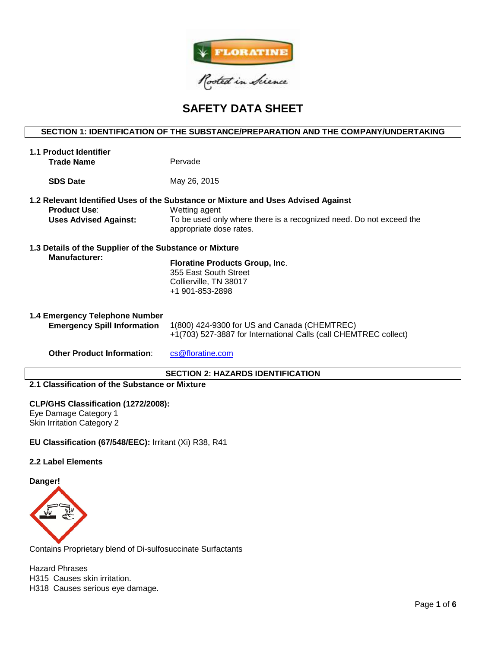

# **SAFETY DATA SHEET**

# **SECTION 1: IDENTIFICATION OF THE SUBSTANCE/PREPARATION AND THE COMPANY/UNDERTAKING**

| 1.1 Product Identifier<br><b>Trade Name</b>                                     | Pervade                                                                                                                                                                                              |
|---------------------------------------------------------------------------------|------------------------------------------------------------------------------------------------------------------------------------------------------------------------------------------------------|
| <b>SDS Date</b>                                                                 | May 26, 2015                                                                                                                                                                                         |
| <b>Product Use:</b><br><b>Uses Advised Against:</b>                             | 1.2 Relevant Identified Uses of the Substance or Mixture and Uses Advised Against<br>Wetting agent<br>To be used only where there is a recognized need. Do not exceed the<br>appropriate dose rates. |
| 1.3 Details of the Supplier of the Substance or Mixture<br><b>Manufacturer:</b> | <b>Floratine Products Group, Inc.</b><br>355 East South Street<br>Collierville, TN 38017<br>+1 901-853-2898                                                                                          |
| 1.4 Emergency Telephone Number<br><b>Emergency Spill Information</b>            | 1(800) 424-9300 for US and Canada (CHEMTREC)<br>+1(703) 527-3887 for International Calls (call CHEMTREC collect)                                                                                     |
| <b>Other Product Information:</b>                                               | cs@floratine.com                                                                                                                                                                                     |

# **SECTION 2: HAZARDS IDENTIFICATION**

# **2.1 Classification of the Substance or Mixture**

### **CLP/GHS Classification (1272/2008):**

Eye Damage Category 1 Skin Irritation Category 2

**EU Classification (67/548/EEC):** Irritant (Xi) R38, R41

# **2.2 Label Elements**

**Danger!**



Contains Proprietary blend of Di-sulfosuccinate Surfactants

Hazard Phrases H315 Causes skin irritation. H318 Causes serious eye damage.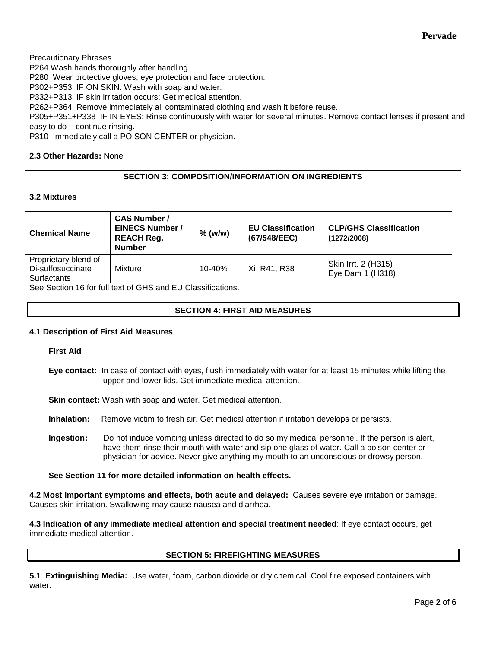Precautionary Phrases P264 Wash hands thoroughly after handling. P280 Wear protective gloves, eye protection and face protection. P302+P353 IF ON SKIN: Wash with soap and water. P332+P313 IF skin irritation occurs: Get medical attention. P262+P364 Remove immediately all contaminated clothing and wash it before reuse. P305+P351+P338 IF IN EYES: Rinse continuously with water for several minutes. Remove contact lenses if present and easy to do – continue rinsing.

P310 Immediately call a POISON CENTER or physician.

# **2.3 Other Hazards:** None

# **SECTION 3: COMPOSITION/INFORMATION ON INGREDIENTS**

# **3.2 Mixtures**

| <b>Chemical Name</b>                                     | <b>CAS Number /</b><br><b>EINECS Number /</b><br><b>REACH Reg.</b><br><b>Number</b> | $%$ (w/w)  | <b>EU Classification</b><br>(67/548/EEC) | <b>CLP/GHS Classification</b><br>(1272/2008) |
|----------------------------------------------------------|-------------------------------------------------------------------------------------|------------|------------------------------------------|----------------------------------------------|
| Proprietary blend of<br>Di-sulfosuccinate<br>Surfactants | Mixture                                                                             | $10 - 40%$ | Xi R41, R38                              | Skin Irrt. 2 (H315)<br>Eye Dam 1 (H318)      |

See Section 16 for full text of GHS and EU Classifications.

# **SECTION 4: FIRST AID MEASURES**

#### **4.1 Description of First Aid Measures**

**First Aid**

**Eye contact:** In case of contact with eyes, flush immediately with water for at least 15 minutes while lifting the upper and lower lids. Get immediate medical attention.

**Skin contact:** Wash with soap and water. Get medical attention.

**Inhalation:** Remove victim to fresh air. Get medical attention if irritation develops or persists.

**Ingestion:** Do not induce vomiting unless directed to do so my medical personnel. If the person is alert, have them rinse their mouth with water and sip one glass of water. Call a poison center or physician for advice. Never give anything my mouth to an unconscious or drowsy person.

**See Section 11 for more detailed information on health effects.**

**4.2 Most Important symptoms and effects, both acute and delayed:** Causes severe eye irritation or damage. Causes skin irritation. Swallowing may cause nausea and diarrhea.

**4.3 Indication of any immediate medical attention and special treatment needed**: If eye contact occurs, get immediate medical attention.

# **SECTION 5: FIREFIGHTING MEASURES**

**5.1 Extinguishing Media:** Use water, foam, carbon dioxide or dry chemical. Cool fire exposed containers with water.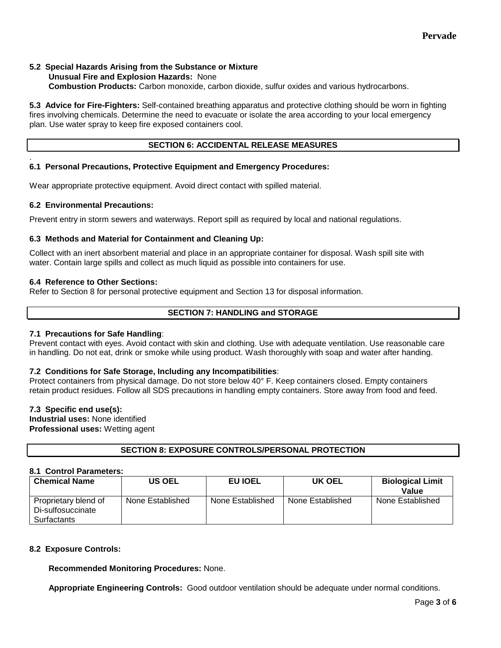### **5.2 Special Hazards Arising from the Substance or Mixture Unusual Fire and Explosion Hazards:** None **Combustion Products:** Carbon monoxide, carbon dioxide, sulfur oxides and various hydrocarbons.

**5.3 Advice for Fire-Fighters:** Self-contained breathing apparatus and protective clothing should be worn in fighting fires involving chemicals. Determine the need to evacuate or isolate the area according to your local emergency plan. Use water spray to keep fire exposed containers cool.

# **SECTION 6: ACCIDENTAL RELEASE MEASURES**

#### . **6.1 Personal Precautions, Protective Equipment and Emergency Procedures:**

Wear appropriate protective equipment. Avoid direct contact with spilled material.

# **6.2 Environmental Precautions:**

Prevent entry in storm sewers and waterways. Report spill as required by local and national regulations.

# **6.3 Methods and Material for Containment and Cleaning Up:**

Collect with an inert absorbent material and place in an appropriate container for disposal. Wash spill site with water. Contain large spills and collect as much liquid as possible into containers for use.

# **6.4 Reference to Other Sections:**

Refer to Section 8 for personal protective equipment and Section 13 for disposal information.

# **SECTION 7: HANDLING and STORAGE**

# **7.1 Precautions for Safe Handling**:

Prevent contact with eyes. Avoid contact with skin and clothing. Use with adequate ventilation. Use reasonable care in handling. Do not eat, drink or smoke while using product. Wash thoroughly with soap and water after handing.

# **7.2 Conditions for Safe Storage, Including any Incompatibilities**:

Protect containers from physical damage. Do not store below 40° F. Keep containers closed. Empty containers retain product residues. Follow all SDS precautions in handling empty containers. Store away from food and feed.

# **7.3 Specific end use(s):**

**Industrial uses:** None identified **Professional uses:** Wetting agent

# **SECTION 8: EXPOSURE CONTROLS/PERSONAL PROTECTION**

# **8.1 Control Parameters:**

| <b>Chemical Name</b>                                     | <b>US OEL</b>    | EU IOEL          | UK OEL           | <b>Biological Limit</b><br>Value |
|----------------------------------------------------------|------------------|------------------|------------------|----------------------------------|
| Proprietary blend of<br>Di-sulfosuccinate<br>Surfactants | None Established | None Established | None Established | None Established                 |

# **8.2 Exposure Controls:**

**Recommended Monitoring Procedures:** None.

**Appropriate Engineering Controls:** Good outdoor ventilation should be adequate under normal conditions.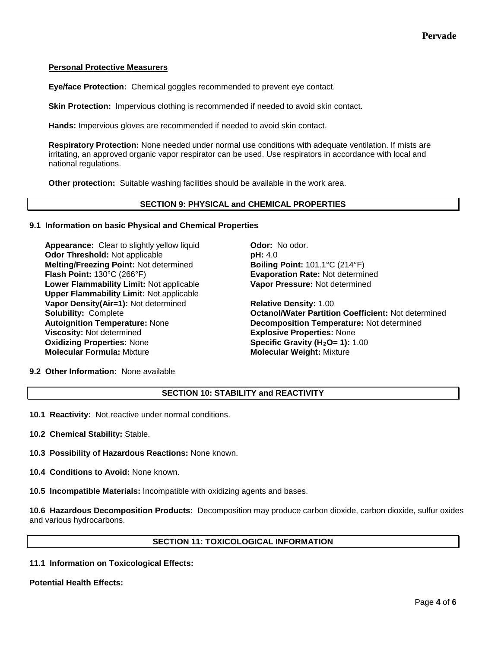# **Personal Protective Measurers**

**Eye/face Protection:** Chemical goggles recommended to prevent eye contact.

**Skin Protection:** Impervious clothing is recommended if needed to avoid skin contact.

**Hands:** Impervious gloves are recommended if needed to avoid skin contact.

**Respiratory Protection:** None needed under normal use conditions with adequate ventilation. If mists are irritating, an approved organic vapor respirator can be used. Use respirators in accordance with local and national regulations.

**Other protection:** Suitable washing facilities should be available in the work area.

### **SECTION 9: PHYSICAL and CHEMICAL PROPERTIES**

### **9.1 Information on basic Physical and Chemical Properties**

**Appearance:** Clear to slightly yellow liquid **Odor:** No odor. **Odor Threshold:** Not applicable **pH:** 4.0 **Melting/Freezing Point:** Not determined **Boiling Point:** 101.1°C (214°F) **Flash Point:** 130°C (266°F) **Evaporation Rate:** Not determined **Lower Flammability Limit:** Not applicable **Upper Flammability Limit:** Not applicable **Vapor Density(Air=1):** Not determined **Relative Density:** 1.00 **Viscosity:** Not determined<br> **Oxidizing Properties:** None<br> **CXIDICAL Specific Gravity (H<sub>2</sub>O= 1):** 1 **Molecular Formula: Mixture** 

**Vapor Pressure:** Not determined

**Solubility:** Complete **Octanol/Water Partition Coefficient:** Not determined **Autoignition Temperature:** None **Decomposition Temperature:** Not determined **Specific Gravity (H<sub>2</sub>O= 1):** 1.00<br>**Molecular Weight:** Mixture

# **9.2 Other Information:** None available

# **SECTION 10: STABILITY and REACTIVITY**

**10.1 Reactivity:** Not reactive under normal conditions.

**10.2 Chemical Stability:** Stable.

**10.3 Possibility of Hazardous Reactions:** None known.

**10.4 Conditions to Avoid:** None known.

**10.5 Incompatible Materials:** Incompatible with oxidizing agents and bases.

**10.6 Hazardous Decomposition Products:** Decomposition may produce carbon dioxide, carbon dioxide, sulfur oxides and various hydrocarbons.

# **SECTION 11: TOXICOLOGICAL INFORMATION**

**11.1 Information on Toxicological Effects:** 

#### **Potential Health Effects:**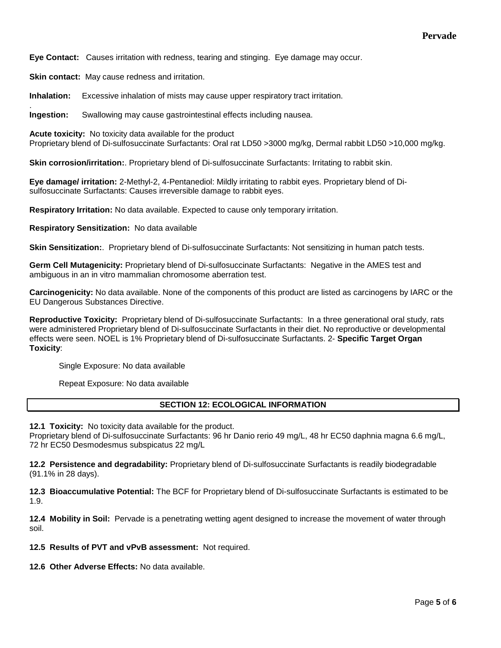**Eye Contact:** Causes irritation with redness, tearing and stinging. Eye damage may occur.

**Skin contact:** May cause redness and irritation.

.

**Inhalation:** Excessive inhalation of mists may cause upper respiratory tract irritation.

**Ingestion:** Swallowing may cause gastrointestinal effects including nausea.

**Acute toxicity:** No toxicity data available for the product Proprietary blend of Di-sulfosuccinate Surfactants: Oral rat LD50 >3000 mg/kg, Dermal rabbit LD50 >10,000 mg/kg.

**Skin corrosion/irritation:**. Proprietary blend of Di-sulfosuccinate Surfactants: Irritating to rabbit skin.

**Eye damage/ irritation:** 2-Methyl-2, 4-Pentanediol: Mildly irritating to rabbit eyes. Proprietary blend of Disulfosuccinate Surfactants: Causes irreversible damage to rabbit eyes.

**Respiratory Irritation:** No data available. Expected to cause only temporary irritation.

**Respiratory Sensitization:** No data available

**Skin Sensitization:**. Proprietary blend of Di-sulfosuccinate Surfactants: Not sensitizing in human patch tests.

**Germ Cell Mutagenicity:** Proprietary blend of Di-sulfosuccinate Surfactants: Negative in the AMES test and ambiguous in an in vitro mammalian chromosome aberration test.

**Carcinogenicity:** No data available. None of the components of this product are listed as carcinogens by IARC or the EU Dangerous Substances Directive.

**Reproductive Toxicity:** Proprietary blend of Di-sulfosuccinate Surfactants: In a three generational oral study, rats were administered Proprietary blend of Di-sulfosuccinate Surfactants in their diet. No reproductive or developmental effects were seen. NOEL is 1% Proprietary blend of Di-sulfosuccinate Surfactants. 2- **Specific Target Organ Toxicity**:

Single Exposure: No data available

Repeat Exposure: No data available

# **SECTION 12: ECOLOGICAL INFORMATION**

**12.1 Toxicity:** No toxicity data available for the product.

Proprietary blend of Di-sulfosuccinate Surfactants: 96 hr Danio rerio 49 mg/L, 48 hr EC50 daphnia magna 6.6 mg/L, 72 hr EC50 Desmodesmus subspicatus 22 mg/L

**12.2 Persistence and degradability:** Proprietary blend of Di-sulfosuccinate Surfactants is readily biodegradable (91.1% in 28 days).

**12.3 Bioaccumulative Potential:** The BCF for Proprietary blend of Di-sulfosuccinate Surfactants is estimated to be 1.9.

**12.4 Mobility in Soil:** Pervade is a penetrating wetting agent designed to increase the movement of water through soil.

**12.5 Results of PVT and vPvB assessment:** Not required.

**12.6 Other Adverse Effects:** No data available.